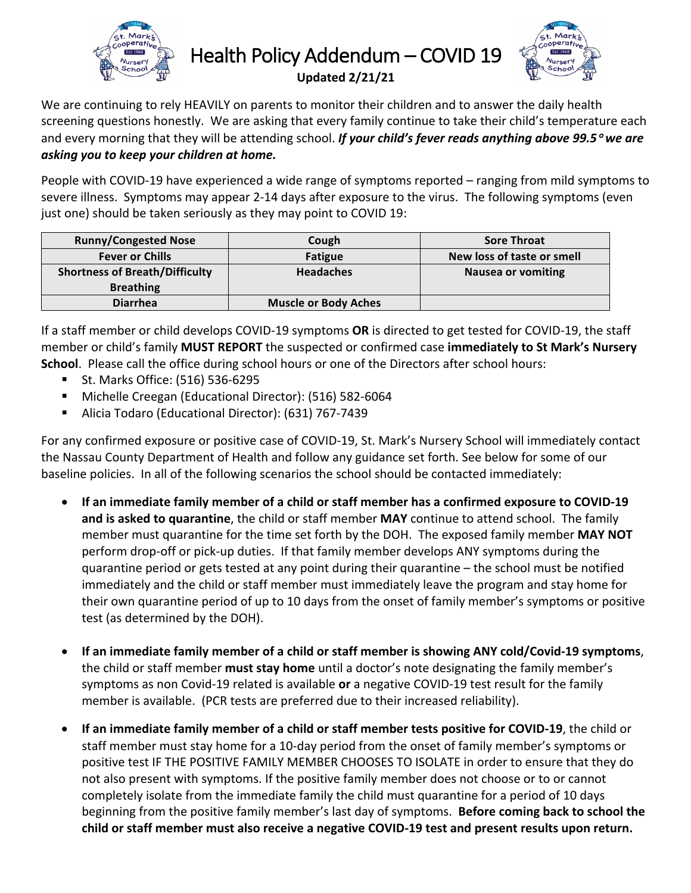

Health Policy Addendum - COVID 19



**Updated 2/21/21**

We are continuing to rely HEAVILY on parents to monitor their children and to answer the daily health screening questions honestly. We are asking that every family continue to take their child's temperature each and every morning that they will be attending school. If your child's fever reads anything above 99.5<sup>°</sup> we are *asking you to keep your children at home.* 

People with COVID-19 have experienced a wide range of symptoms reported – ranging from mild symptoms to severe illness. Symptoms may appear 2-14 days after exposure to the virus. The following symptoms (even just one) should be taken seriously as they may point to COVID 19:

| <b>Runny/Congested Nose</b>           | Cough                       | <b>Sore Throat</b>         |
|---------------------------------------|-----------------------------|----------------------------|
| <b>Fever or Chills</b>                | <b>Fatigue</b>              | New loss of taste or smell |
| <b>Shortness of Breath/Difficulty</b> | <b>Headaches</b>            | <b>Nausea or vomiting</b>  |
| <b>Breathing</b>                      |                             |                            |
| <b>Diarrhea</b>                       | <b>Muscle or Body Aches</b> |                            |

If a staff member or child develops COVID-19 symptoms **OR** is directed to get tested for COVID-19, the staff member or child's family **MUST REPORT** the suspected or confirmed case **immediately to St Mark's Nursery School**. Please call the office during school hours or one of the Directors after school hours:

- St. Marks Office: (516) 536-6295
- Michelle Creegan (Educational Director): (516) 582-6064
- Alicia Todaro (Educational Director): (631) 767-7439

For any confirmed exposure or positive case of COVID-19, St. Mark's Nursery School will immediately contact the Nassau County Department of Health and follow any guidance set forth. See below for some of our baseline policies. In all of the following scenarios the school should be contacted immediately:

- If an immediate family member of a child or staff member has a confirmed exposure to COVID-19 **and is asked to quarantine**, the child or staff member **MAY** continue to attend school. The family member must quarantine for the time set forth by the DOH. The exposed family member MAY NOT perform drop-off or pick-up duties. If that family member develops ANY symptoms during the quarantine period or gets tested at any point during their quarantine  $-$  the school must be notified immediately and the child or staff member must immediately leave the program and stay home for their own quarantine period of up to 10 days from the onset of family member's symptoms or positive test (as determined by the DOH).
- **If an immediate family member of a child or staff member is showing ANY cold/Covid-19 symptoms**, the child or staff member **must stay home** until a doctor's note designating the family member's symptoms as non Covid-19 related is available or a negative COVID-19 test result for the family member is available. (PCR tests are preferred due to their increased reliability).
- **If an immediate family member of a child or staff member tests positive for COVID-19, the child or** staff member must stay home for a 10-day period from the onset of family member's symptoms or positive test IF THE POSITIVE FAMILY MEMBER CHOOSES TO ISOLATE in order to ensure that they do not also present with symptoms. If the positive family member does not choose or to or cannot completely isolate from the immediate family the child must quarantine for a period of 10 days beginning from the positive family member's last day of symptoms. Before coming back to school the child or staff member must also receive a negative COVID-19 test and present results upon return.